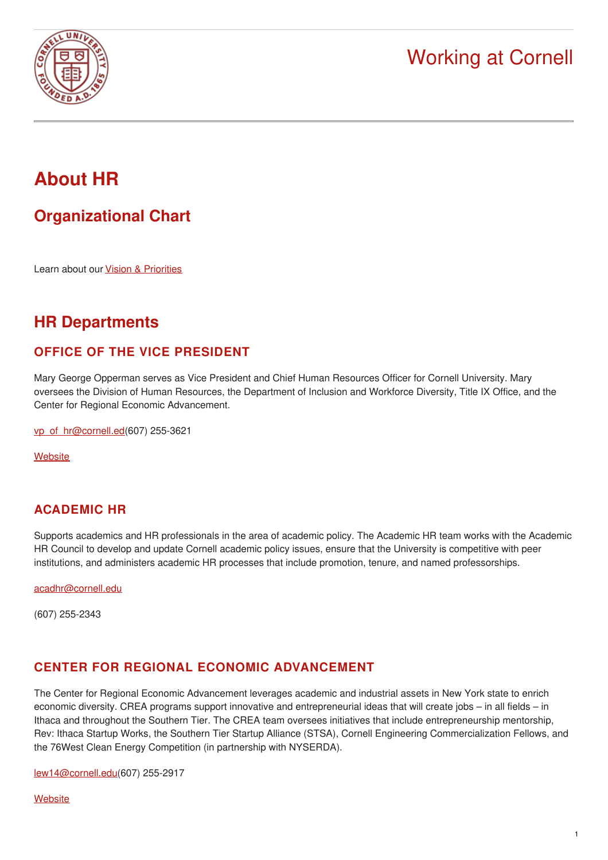

# **About HR**

## **[Organizational](https://hr.cornell.edu/sites/default/files/documents/vpchro_org_chart.pdf) Chart**

Learn about our Vision & [Priorities](https://hr.cornell.edu/about-hr/hr-pillars-and-priorities)

## **HR Departments**

## **OFFICE OF THE VICE PRESIDENT**

Mary George Opperman serves as Vice President and Chief Human Resources Officer for Cornell University. Mary oversees the Division of Human Resources, the Department of Inclusion and Workforce Diversity, Title IX Office, and the Center for Regional Economic Advancement.

[vp\\_of\\_hr@cornell.ed](mailto:vp_of_hr@cornell.edu)(607) 255-3621

**[Website](http://vpchro.cornell.edu/)** 

## **ACADEMIC HR**

Supports academics and HR professionals in the area of academic policy. The Academic HR team works with the Academic HR Council to develop and update Cornell academic policy issues, ensure that the University is competitive with peer institutions, and administers academic HR processes that include promotion, tenure, and named professorships.

[acadhr@cornell.edu](mailto:acadhr@cornell.edu)

(607) 255-2343

## **CENTER FOR REGIONAL ECONOMIC ADVANCEMENT**

The Center for Regional Economic Advancement leverages academic and industrial assets in New York state to enrich economic diversity. CREA programs support innovative and entrepreneurial ideas that will create jobs – in all fields – in Ithaca and throughout the Southern Tier. The CREA team oversees initiatives that include entrepreneurship mentorship, Rev: Ithaca Startup Works, the Southern Tier Startup Alliance (STSA), Cornell Engineering Commercialization Fellows, and the 76West Clean Energy Competition (in partnership with NYSERDA).

[lew14@cornell.edu](mailto:lew14@cornell.edu)(607) 255-2917

**[Website](http://crea.cornell.edu/)**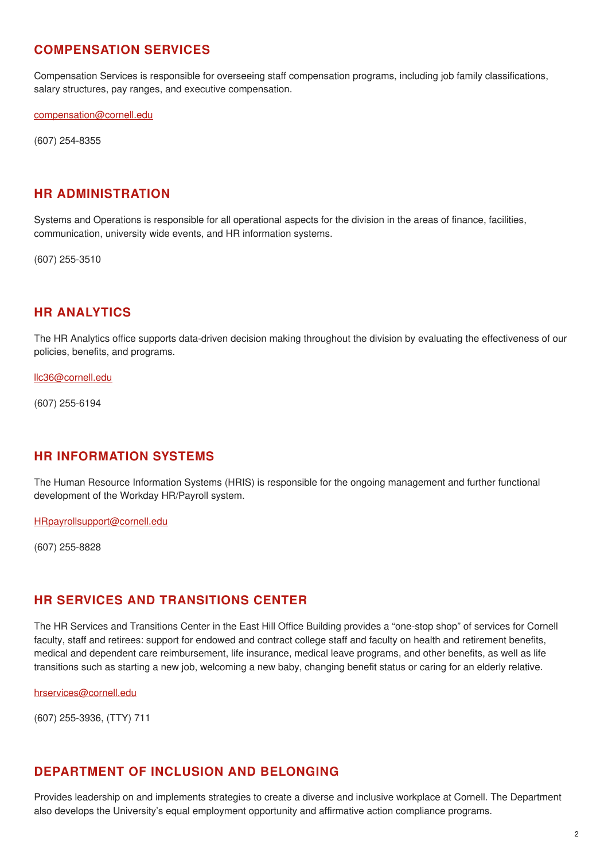#### **COMPENSATION SERVICES**

Compensation Services is responsible for overseeing staff compensation programs, including job family classifications, salary structures, pay ranges, and executive compensation.

[compensation@cornell.edu](mailto:compensation@cornell.edu)

(607) 254-8355

#### **HR ADMINISTRATION**

Systems and Operations is responsible for all operational aspects for the division in the areas of finance, facilities, communication, university wide events, and HR information systems.

(607) 255-3510

#### **HR ANALYTICS**

The HR Analytics office supports data-driven decision making throughout the division by evaluating the effectiveness of our policies, benefits, and programs.

[llc36@cornell.edu](mailto:llc36@cornell.edu)

(607) 255-6194

#### **HR INFORMATION SYSTEMS**

The Human Resource Information Systems (HRIS) is responsible for the ongoing management and further functional development of the Workday HR/Payroll system.

[HRpayrollsupport@cornell.edu](mailto:HRpayrollsupport@cornell.edu)

(607) 255-8828

#### **HR SERVICES AND TRANSITIONS CENTER**

The HR Services and Transitions Center in the East Hill Office Building provides a "one-stop shop" of services for Cornell faculty, staff and retirees: support for endowed and contract college staff and faculty on health and retirement benefits, medical and dependent care reimbursement, life insurance, medical leave programs, and other benefits, as well as life transitions such as starting a new job, welcoming a new baby, changing benefit status or caring for an elderly relative.

[hrservices@cornell.edu](mailto:hrservices@cornell.edu?subject=Message%20from%20About%20HR)

(607) 255-3936, (TTY) 711

## **DEPARTMENT OF INCLUSION AND BELONGING**

Provides leadership on and implements strategies to create a diverse and inclusive workplace at Cornell. The Department also develops the University's equal employment opportunity and affirmative action compliance programs.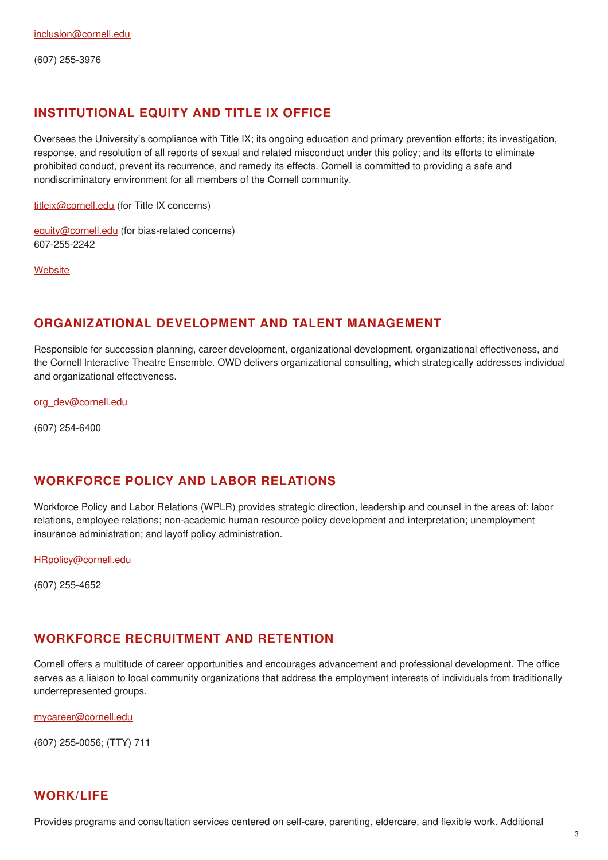(607) 255-3976

## **INSTITUTIONAL EQUITY AND TITLE IX OFFICE**

Oversees the University's compliance with Title IX; its ongoing education and primary prevention efforts; its investigation, response, and resolution of all reports of sexual and related misconduct under this policy; and its efforts to eliminate prohibited conduct, prevent its recurrence, and remedy its effects. Cornell is committed to providing a safe and nondiscriminatory environment for all members of the Cornell community.

[titleix@cornell.edu](mailto:titleix@cornell.edu) (for Title IX concerns)

[equity@cornell.edu](mailto:equity@cornell.edu) (for bias-related concerns) 607-255-2242

**[Website](http://titleix.cornell.edu/)** 

## **ORGANIZATIONAL DEVELOPMENT AND TALENT MANAGEMENT**

Responsible for succession planning, career development, organizational development, organizational effectiveness, and the Cornell Interactive Theatre Ensemble. OWD delivers organizational consulting, which strategically addresses individual and organizational effectiveness.

[org\\_dev@cornell.edu](mailto:org_dev@cornell.edu)

(607) 254-6400

## **WORKFORCE POLICY AND LABOR RELATIONS**

Workforce Policy and Labor Relations (WPLR) provides strategic direction, leadership and counsel in the areas of: labor relations, employee relations; non-academic human resource policy development and interpretation; unemployment insurance administration; and layoff policy administration.

[HRpolicy@cornell.edu](mailto:HRpolicy@cornell.edu)

(607) 255-4652

## **WORKFORCE RECRUITMENT AND RETENTION**

Cornell offers a multitude of career opportunities and encourages advancement and professional development. The office serves as a liaison to local community organizations that address the employment interests of individuals from traditionally underrepresented groups.

[mycareer@cornell.edu](mailto:mycareer@cornell.edu)

(607) 255-0056; (TTY) 711

## **WORK/LIFE**

Provides programs and consultation services centered on self-care, parenting, eldercare, and flexible work. Additional